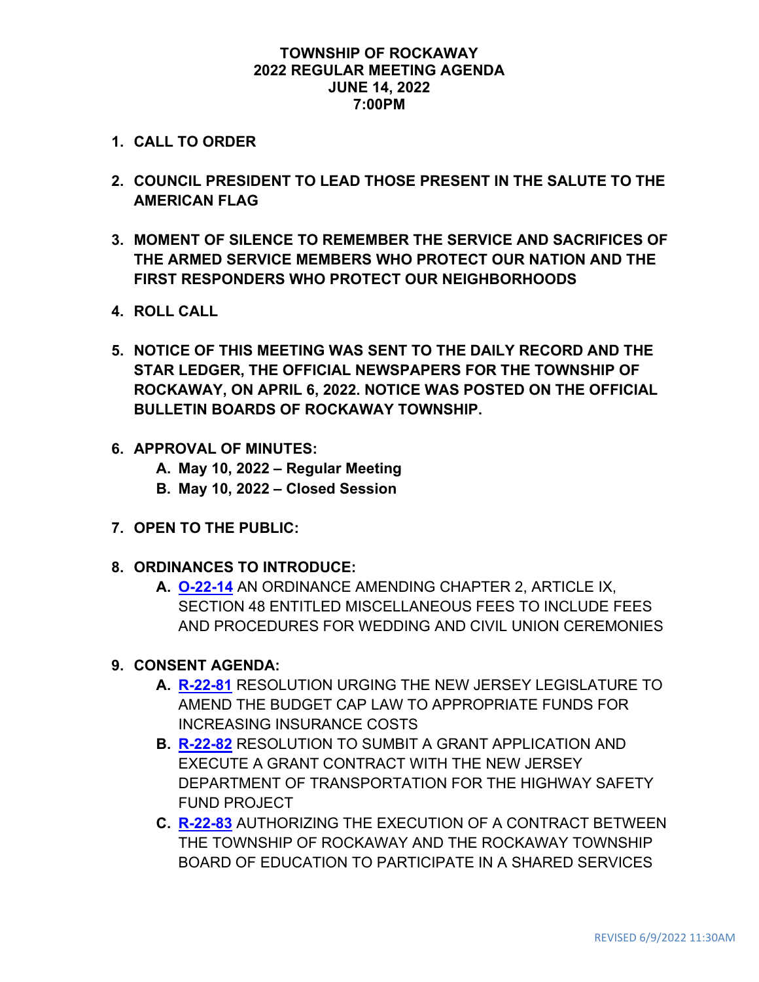#### **TOWNSHIP OF ROCKAWAY 2022 REGULAR MEETING AGENDA JUNE 14, 2022 7:00PM**

- **1. CALL TO ORDER**
- **2. COUNCIL PRESIDENT TO LEAD THOSE PRESENT IN THE SALUTE TO THE AMERICAN FLAG**
- **3. MOMENT OF SILENCE TO REMEMBER THE SERVICE AND SACRIFICES OF THE ARMED SERVICE MEMBERS WHO PROTECT OUR NATION AND THE FIRST RESPONDERS WHO PROTECT OUR NEIGHBORHOODS**
- **4. ROLL CALL**
- **5. NOTICE OF THIS MEETING WAS SENT TO THE DAILY RECORD AND THE STAR LEDGER, THE OFFICIAL NEWSPAPERS FOR THE TOWNSHIP OF ROCKAWAY, ON APRIL 6, 2022. NOTICE WAS POSTED ON THE OFFICIAL BULLETIN BOARDS OF ROCKAWAY TOWNSHIP.**
- **6. APPROVAL OF MINUTES:**
	- **A. May 10, 2022 – Regular Meeting**
	- **B. May 10, 2022 – Closed Session**
- **7. OPEN TO THE PUBLIC:**
- **8. ORDINANCES TO INTRODUCE:**
	- **A. [O-22-14](https://www.rockawaytownship.org/DocumentCenter/View/8450/O-22-14-Revised-Draft-Ordinance---WEDDING-AND-CIVIL-UNION-CEREMONIES-003)** AN ORDINANCE AMENDING CHAPTER 2, ARTICLE IX, SECTION 48 ENTITLED MISCELLANEOUS FEES TO INCLUDE FEES AND PROCEDURES FOR WEDDING AND CIVIL UNION CEREMONIES

### **9. CONSENT AGENDA:**

- **A. [R-22-81](https://www.rockawaytownship.org/DocumentCenter/View/8430/R-22-81-Resolution-to-Amend-Budget-CAP-Law)** RESOLUTION URGING THE NEW JERSEY LEGISLATURE TO AMEND THE BUDGET CAP LAW TO APPROPRIATE FUNDS FOR INCREASING INSURANCE COSTS
- **B. [R-22-82](https://www.rockawaytownship.org/DocumentCenter/View/8431/R-22-82-Resolution-to-Submit-Highway-Safety-Grant-Applic-002)** RESOLUTION TO SUMBIT A GRANT APPLICATION AND EXECUTE A GRANT CONTRACT WITH THE NEW JERSEY DEPARTMENT OF TRANSPORTATION FOR THE HIGHWAY SAFETY FUND PROJECT
- **C. [R-22-83](https://www.rockawaytownship.org/DocumentCenter/View/8432/R-22-83-06-06-22-Track-Changed-Rev-R-22-Resolution-for-SLEO-Class-III-Officers)** AUTHORIZING THE EXECUTION OF A CONTRACT BETWEEN THE TOWNSHIP OF ROCKAWAY AND THE ROCKAWAY TOWNSHIP BOARD OF EDUCATION TO PARTICIPATE IN A SHARED SERVICES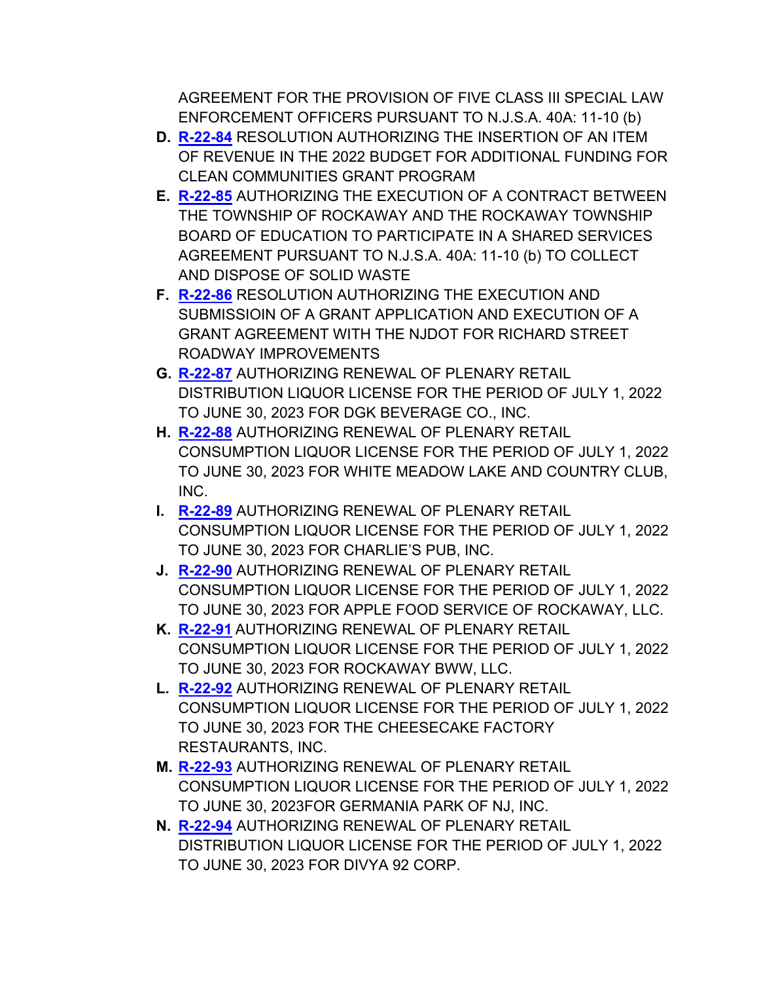AGREEMENT FOR THE PROVISION OF FIVE CLASS III SPECIAL LAW ENFORCEMENT OFFICERS PURSUANT TO N.J.S.A. 40A: 11-10 (b)

- **D. [R-22-84](https://www.rockawaytownship.org/DocumentCenter/View/8433/R-22-84-2022-Clean-Communities-Ch159)** RESOLUTION AUTHORIZING THE INSERTION OF AN ITEM OF REVENUE IN THE 2022 BUDGET FOR ADDITIONAL FUNDING FOR CLEAN COMMUNITIES GRANT PROGRAM
- **E. [R-22-85](https://www.rockawaytownship.org/DocumentCenter/View/8434/R-22-85-BOE-Shared-Service-Waste-Removal)** AUTHORIZING THE EXECUTION OF A CONTRACT BETWEEN THE TOWNSHIP OF ROCKAWAY AND THE ROCKAWAY TOWNSHIP BOARD OF EDUCATION TO PARTICIPATE IN A SHARED SERVICES AGREEMENT PURSUANT TO N.J.S.A. 40A: 11-10 (b) TO COLLECT AND DISPOSE OF SOLID WASTE
- **F. [R-22-86](https://www.rockawaytownship.org/DocumentCenter/View/8435/R-22-86-Grant-NJDOT-Richard-St-Roadway-Improvements)** RESOLUTION AUTHORIZING THE EXECUTION AND SUBMISSIOIN OF A GRANT APPLICATION AND EXECUTION OF A GRANT AGREEMENT WITH THE NJDOT FOR RICHARD STREET ROADWAY IMPROVEMENTS
- **G. [R-22-87](https://www.rockawaytownship.org/DocumentCenter/View/8436/R-22-87-Shop-Rite-Liquors-2022-2023-Liquor-License-Renewal)** AUTHORIZING RENEWAL OF PLENARY RETAIL DISTRIBUTION LIQUOR LICENSE FOR THE PERIOD OF JULY 1, 2022 TO JUNE 30, 2023 FOR DGK BEVERAGE CO., INC.
- **H. [R-22-88](https://www.rockawaytownship.org/DocumentCenter/View/8437/R-22-88-White-Meadow-Lake-2022-2023-Liquor-License-Renewal)** AUTHORIZING RENEWAL OF PLENARY RETAIL CONSUMPTION LIQUOR LICENSE FOR THE PERIOD OF JULY 1, 2022 TO JUNE 30, 2023 FOR WHITE MEADOW LAKE AND COUNTRY CLUB, INC.
- **I. [R-22-89](https://www.rockawaytownship.org/DocumentCenter/View/8438/R-22-89-Adams-Beer-Garden-2022-2023-Liquor-License-Renewal)** AUTHORIZING RENEWAL OF PLENARY RETAIL CONSUMPTION LIQUOR LICENSE FOR THE PERIOD OF JULY 1, 2022 TO JUNE 30, 2023 FOR CHARLIE'S PUB, INC.
- **J. [R-22-90](https://www.rockawaytownship.org/DocumentCenter/View/8439/R-22-90-Applebees-2022-2023-Liquor-License-Renewal)** AUTHORIZING RENEWAL OF PLENARY RETAIL CONSUMPTION LIQUOR LICENSE FOR THE PERIOD OF JULY 1, 2022 TO JUNE 30, 2023 FOR APPLE FOOD SERVICE OF ROCKAWAY, LLC.
- **K. [R-22-91](https://www.rockawaytownship.org/DocumentCenter/View/8440/R-22-91-Buffalo-Wild-Wings-2022-2023-Liquor-License-Renewal)** AUTHORIZING RENEWAL OF PLENARY RETAIL CONSUMPTION LIQUOR LICENSE FOR THE PERIOD OF JULY 1, 2022 TO JUNE 30, 2023 FOR ROCKAWAY BWW, LLC.
- **L. [R-22-92](https://www.rockawaytownship.org/DocumentCenter/View/8441/R-22-92-Cheesecake-Factory-2022-2023-Liquor-License-Renewal)** AUTHORIZING RENEWAL OF PLENARY RETAIL CONSUMPTION LIQUOR LICENSE FOR THE PERIOD OF JULY 1, 2022 TO JUNE 30, 2023 FOR THE CHEESECAKE FACTORY RESTAURANTS, INC.
- **M. [R-22-93](https://www.rockawaytownship.org/DocumentCenter/View/8442/R-22-93-Germania-Park-2022-2023-Liquor-License-Renewal)** AUTHORIZING RENEWAL OF PLENARY RETAIL CONSUMPTION LIQUOR LICENSE FOR THE PERIOD OF JULY 1, 2022 TO JUNE 30, 2023FOR GERMANIA PARK OF NJ, INC.
- **N. [R-22-94](https://www.rockawaytownship.org/DocumentCenter/View/8443/R-22-94-Midtown-Liquors-2022-2023-Liquor-License-Renewal)** AUTHORIZING RENEWAL OF PLENARY RETAIL DISTRIBUTION LIQUOR LICENSE FOR THE PERIOD OF JULY 1, 2022 TO JUNE 30, 2023 FOR DIVYA 92 CORP.